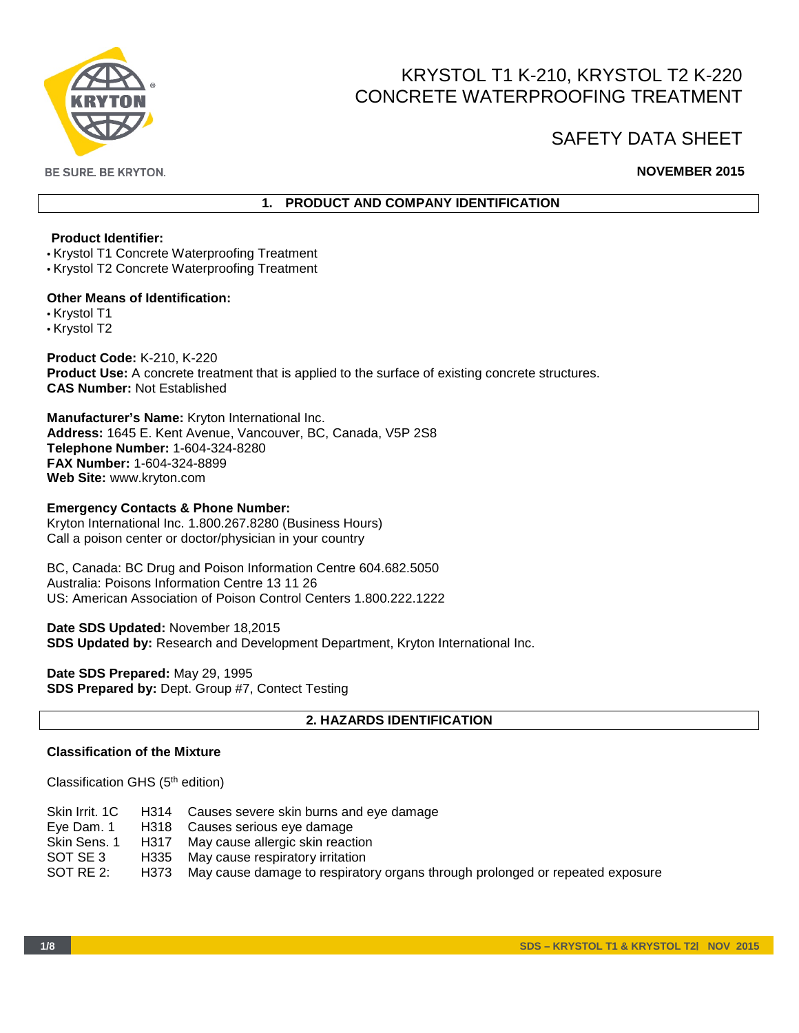

# KRYSTOL T1 K-210, KRYSTOL T2 K-220 CONCRETE WATERPROOFING TREATMENT

# SAFETY DATA SHEET

BE SURE. BE KRYTON.

# **NOVEMBER 2015**

# **1. PRODUCT AND COMPANY IDENTIFICATION**

# **Product Identifier:**

• Krystol T1 Concrete Waterproofing Treatment

• Krystol T2 Concrete Waterproofing Treatment

#### **Other Means of Identification:**

• Krystol T1

• Krystol T2

**Product Code:** K-210, K-220 **Product Use:** A concrete treatment that is applied to the surface of existing concrete structures. **CAS Number:** Not Established

**Manufacturer's Name:** Kryton International Inc. **Address:** 1645 E. Kent Avenue, Vancouver, BC, Canada, V5P 2S8 **Telephone Number:** 1-604-324-8280 **FAX Number:** 1-604-324-8899 **Web Site:** www.kryton.com

## **Emergency Contacts & Phone Number:**

Kryton International Inc. 1.800.267.8280 (Business Hours) Call a poison center or doctor/physician in your country

BC, Canada: BC Drug and Poison Information Centre 604.682.5050 Australia: Poisons Information Centre 13 11 26 US: American Association of Poison Control Centers 1.800.222.1222

**Date SDS Updated:** November 18,2015 **SDS Updated by:** Research and Development Department, Kryton International Inc.

**Date SDS Prepared:** May 29, 1995 **SDS Prepared by:** Dept. Group #7, Contect Testing

# **2. HAZARDS IDENTIFICATION**

## **Classification of the Mixture**

Classification GHS (5th edition)

| Skin Irrit, 1C |      | H314 Causes severe skin burns and eye damage                                  |
|----------------|------|-------------------------------------------------------------------------------|
| Eye Dam. 1     |      | H318 Causes serious eye damage                                                |
| Skin Sens. 1   | H317 | May cause allergic skin reaction                                              |
| SOT SE 3       | H335 | May cause respiratory irritation                                              |
| SOT RE 2:      | H373 | May cause damage to respiratory organs through prolonged or repeated exposure |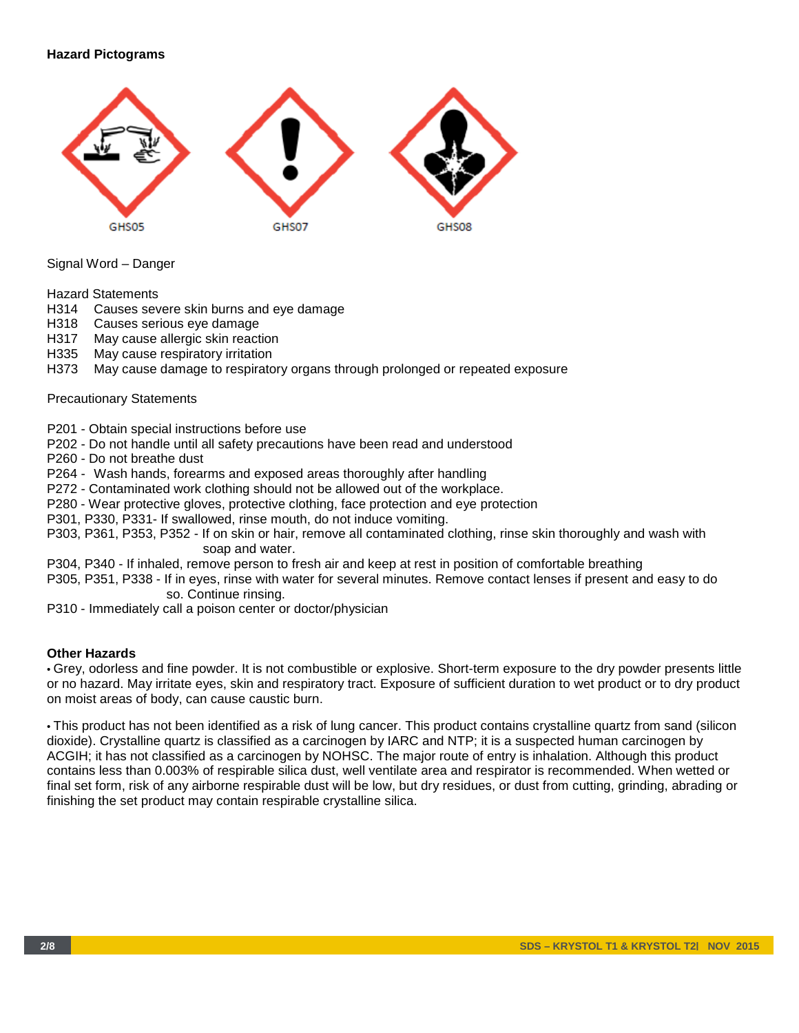# **Hazard Pictograms**



Signal Word – Danger

Hazard Statements

- H314 Causes severe skin burns and eye damage
- H318 Causes serious eye damage
- H317 May cause allergic skin reaction
- H335 May cause respiratory irritation
- H373 May cause damage to respiratory organs through prolonged or repeated exposure

#### Precautionary Statements

P201 - Obtain special instructions before use

P202 - Do not handle until all safety precautions have been read and understood

P260 - Do not breathe dust

P264 - Wash hands, forearms and exposed areas thoroughly after handling

P272 - Contaminated work clothing should not be allowed out of the workplace.

P280 - Wear protective gloves, protective clothing, face protection and eye protection

P301, P330, P331- If swallowed, rinse mouth, do not induce vomiting.

P303, P361, P353, P352 - If on skin or hair, remove all contaminated clothing, rinse skin thoroughly and wash with soap and water.

P304, P340 - If inhaled, remove person to fresh air and keep at rest in position of comfortable breathing

P305, P351, P338 - If in eyes, rinse with water for several minutes. Remove contact lenses if present and easy to do so. Continue rinsing.

P310 - Immediately call a poison center or doctor/physician

## **Other Hazards**

• Grey, odorless and fine powder. It is not combustible or explosive. Short-term exposure to the dry powder presents little or no hazard. May irritate eyes, skin and respiratory tract. Exposure of sufficient duration to wet product or to dry product on moist areas of body, can cause caustic burn.

• This product has not been identified as a risk of lung cancer. This product contains crystalline quartz from sand (silicon dioxide). Crystalline quartz is classified as a carcinogen by IARC and NTP; it is a suspected human carcinogen by ACGIH; it has not classified as a carcinogen by NOHSC. The major route of entry is inhalation. Although this product contains less than 0.003% of respirable silica dust, well ventilate area and respirator is recommended. When wetted or final set form, risk of any airborne respirable dust will be low, but dry residues, or dust from cutting, grinding, abrading or finishing the set product may contain respirable crystalline silica.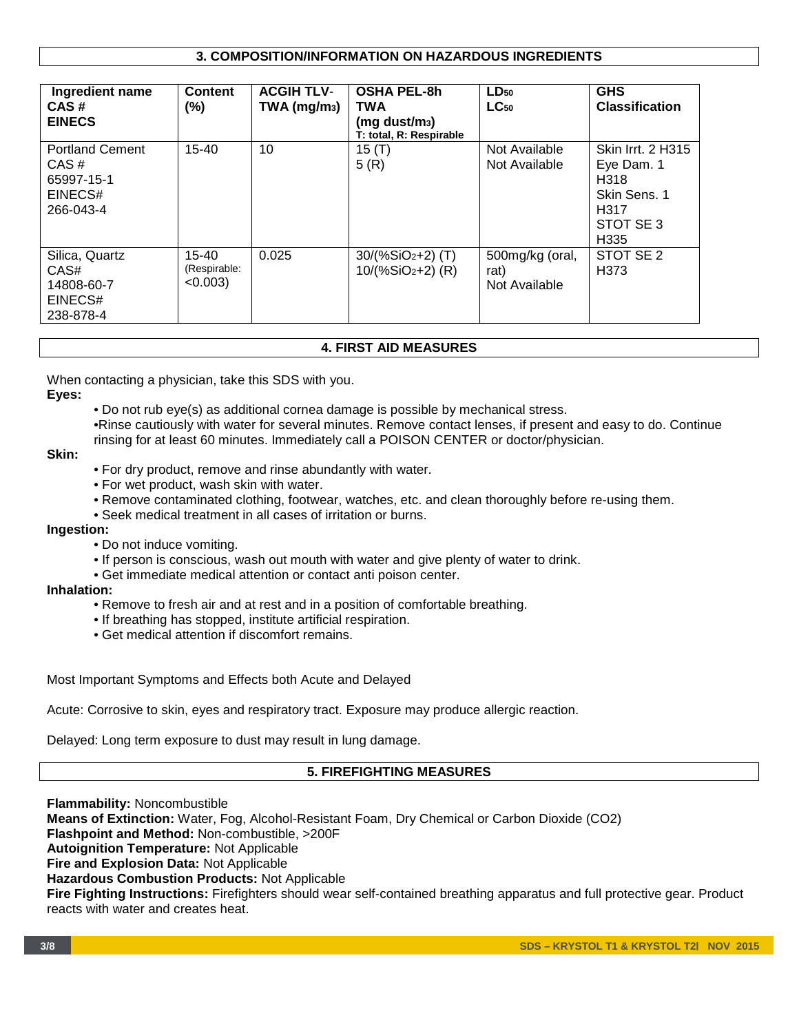# **3. COMPOSITION/INFORMATION ON HAZARDOUS INGREDIENTS**

| Ingredient name<br>CAS#<br><b>EINECS</b>                             | <b>Content</b><br>$(\% )$        | <b>ACGIH TLV-</b><br>$TWA$ (mg/m <sub>3</sub> ) | <b>OSHA PEL-8h</b><br><b>TWA</b><br>$(mq \text{ dust/m}_3)$<br>T: total, R: Respirable | $LD_{50}$<br>$LC_{50}$                   | <b>GHS</b><br><b>Classification</b>                                                                     |
|----------------------------------------------------------------------|----------------------------------|-------------------------------------------------|----------------------------------------------------------------------------------------|------------------------------------------|---------------------------------------------------------------------------------------------------------|
| <b>Portland Cement</b><br>CAS#<br>65997-15-1<br>EINECS#<br>266-043-4 | $15 - 40$                        | 10                                              | 15 $(T)$<br>5(R)                                                                       | Not Available<br>Not Available           | <b>Skin Irrt. 2 H315</b><br>Eye Dam. 1<br>H318<br>Skin Sens, 1<br>H317<br>STOT SE 3<br>H <sub>335</sub> |
| Silica, Quartz<br>CAS#<br>14808-60-7<br>EINECS#<br>238-878-4         | 15-40<br>(Respirable:<br>< 0.003 | 0.025                                           | $30/(%SiO2+2)$ (T)<br>$10/(%SiO2+2)$ (R)                                               | 500mg/kg (oral,<br>rat)<br>Not Available | STOT SE 2<br>H <sub>3</sub> 73                                                                          |

#### **4. FIRST AID MEASURES**

When contacting a physician, take this SDS with you.

#### **Eyes:**

• Do not rub eye(s) as additional cornea damage is possible by mechanical stress.

•Rinse cautiously with water for several minutes. Remove contact lenses, if present and easy to do. Continue rinsing for at least 60 minutes. Immediately call a POISON CENTER or doctor/physician.

#### **Skin:**

- For dry product, remove and rinse abundantly with water.
- For wet product, wash skin with water.
- Remove contaminated clothing, footwear, watches, etc. and clean thoroughly before re-using them.
- Seek medical treatment in all cases of irritation or burns.

#### **Ingestion:**

- Do not induce vomiting.
- If person is conscious, wash out mouth with water and give plenty of water to drink.
- Get immediate medical attention or contact anti poison center.

#### **Inhalation:**

- Remove to fresh air and at rest and in a position of comfortable breathing.
- If breathing has stopped, institute artificial respiration.
- Get medical attention if discomfort remains.

Most Important Symptoms and Effects both Acute and Delayed

Acute: Corrosive to skin, eyes and respiratory tract. Exposure may produce allergic reaction.

Delayed: Long term exposure to dust may result in lung damage.

## **5. FIREFIGHTING MEASURES**

**Flammability:** Noncombustible **Means of Extinction:** Water, Fog, Alcohol-Resistant Foam, Dry Chemical or Carbon Dioxide (CO2) **Flashpoint and Method:** Non-combustible, >200F **Autoignition Temperature:** Not Applicable **Fire and Explosion Data:** Not Applicable **Hazardous Combustion Products:** Not Applicable **Fire Fighting Instructions:** Firefighters should wear self-contained breathing apparatus and full protective gear. Product reacts with water and creates heat.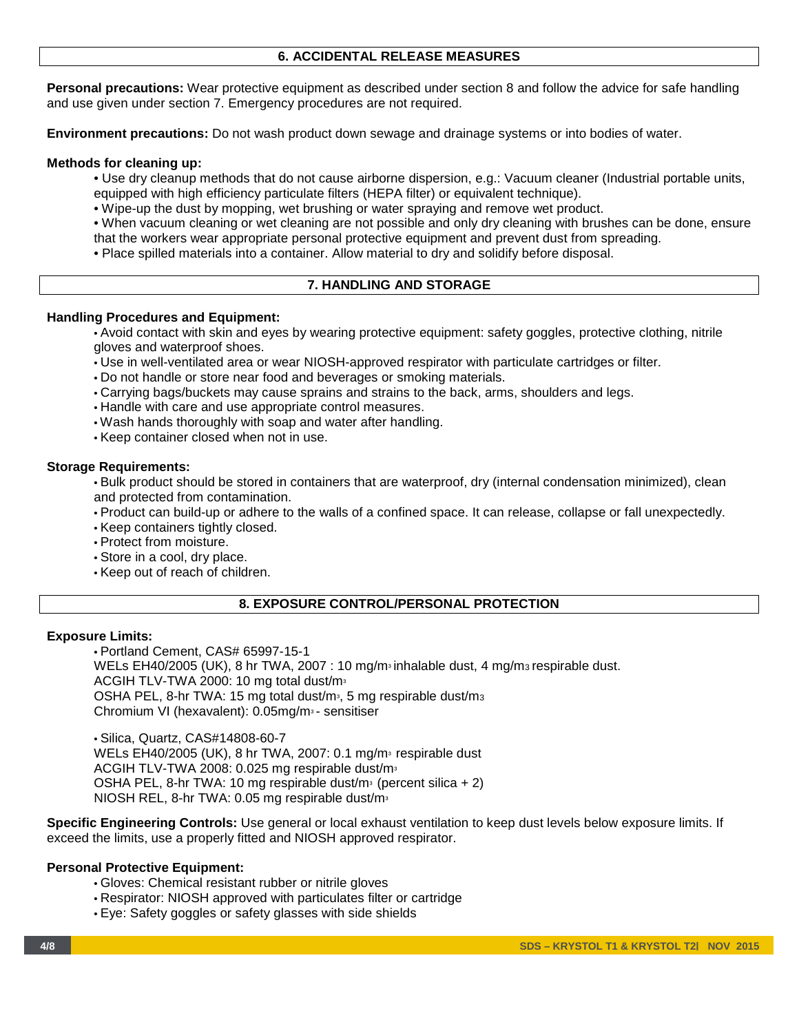# **6. ACCIDENTAL RELEASE MEASURES**

**Personal precautions:** Wear protective equipment as described under section 8 and follow the advice for safe handling and use given under section 7. Emergency procedures are not required.

**Environment precautions:** Do not wash product down sewage and drainage systems or into bodies of water.

#### **Methods for cleaning up:**

- Use dry cleanup methods that do not cause airborne dispersion, e.g.: Vacuum cleaner (Industrial portable units,
- equipped with high efficiency particulate filters (HEPA filter) or equivalent technique).
- Wipe-up the dust by mopping, wet brushing or water spraying and remove wet product.
- When vacuum cleaning or wet cleaning are not possible and only dry cleaning with brushes can be done, ensure that the workers wear appropriate personal protective equipment and prevent dust from spreading.
- Place spilled materials into a container. Allow material to dry and solidify before disposal.

## **7. HANDLING AND STORAGE**

#### **Handling Procedures and Equipment:**

• Avoid contact with skin and eyes by wearing protective equipment: safety goggles, protective clothing, nitrile gloves and waterproof shoes.

- Use in well-ventilated area or wear NIOSH-approved respirator with particulate cartridges or filter.
- Do not handle or store near food and beverages or smoking materials.
- Carrying bags/buckets may cause sprains and strains to the back, arms, shoulders and legs.
- Handle with care and use appropriate control measures.
- Wash hands thoroughly with soap and water after handling.
- Keep container closed when not in use.

#### **Storage Requirements:**

• Bulk product should be stored in containers that are waterproof, dry (internal condensation minimized), clean and protected from contamination.

• Product can build-up or adhere to the walls of a confined space. It can release, collapse or fall unexpectedly.

- Keep containers tightly closed.
- Protect from moisture.
- Store in a cool, dry place.
- Keep out of reach of children.

# **8. EXPOSURE CONTROL/PERSONAL PROTECTION**

#### **Exposure Limits:**

• Portland Cement, CAS# 65997-15-1 WELs EH40/2005 (UK), 8 hr TWA, 2007 : 10 mg/m $\frac{1}{2}$  inhalable dust, 4 mg/m $\frac{1}{2}$  respirable dust. ACGIH TLV-TWA 2000: 10 mg total dust/m<sup>3</sup> OSHA PEL, 8-hr TWA: 15 mg total dust/m<sup>3</sup>, 5 mg respirable dust/m<sup>3</sup> Chromium VI (hexavalent): 0.05mg/m<sup>3</sup> - sensitiser

• Silica, Quartz, CAS#14808-60-7 WELs EH40/2005 (UK), 8 hr TWA, 2007: 0.1 mg/m<sup>3</sup> respirable dust ACGIH TLV-TWA 2008: 0.025 mg respirable dust/m<sup>3</sup> OSHA PEL, 8-hr TWA: 10 mg respirable dust/m<sup>3</sup> (percent silica  $+ 2$ ) NIOSH REL, 8-hr TWA: 0.05 mg respirable dust/m<sup>3</sup>

**Specific Engineering Controls:** Use general or local exhaust ventilation to keep dust levels below exposure limits. If exceed the limits, use a properly fitted and NIOSH approved respirator.

## **Personal Protective Equipment:**

- Gloves: Chemical resistant rubber or nitrile gloves
- Respirator: NIOSH approved with particulates filter or cartridge
- Eye: Safety goggles or safety glasses with side shields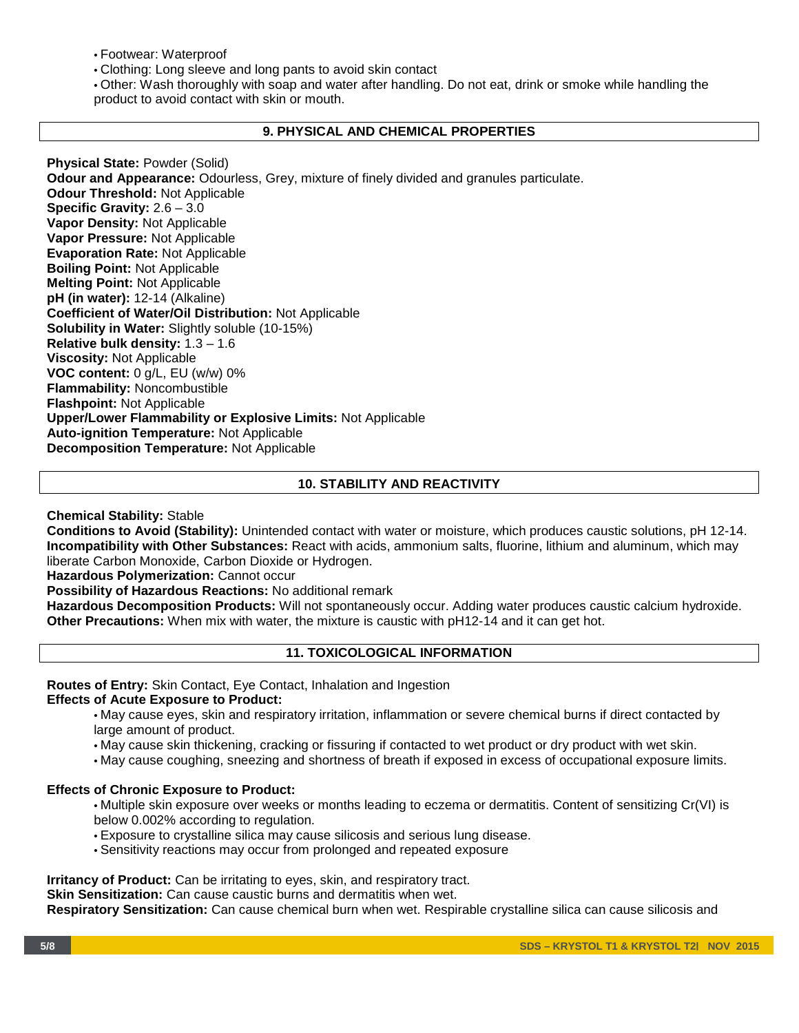• Footwear: Waterproof

• Clothing: Long sleeve and long pants to avoid skin contact

• Other: Wash thoroughly with soap and water after handling. Do not eat, drink or smoke while handling the product to avoid contact with skin or mouth.

#### **9. PHYSICAL AND CHEMICAL PROPERTIES**

**Physical State:** Powder (Solid) **Odour and Appearance:** Odourless, Grey, mixture of finely divided and granules particulate. **Odour Threshold:** Not Applicable **Specific Gravity:** 2.6 – 3.0 **Vapor Density:** Not Applicable **Vapor Pressure:** Not Applicable **Evaporation Rate:** Not Applicable **Boiling Point:** Not Applicable **Melting Point:** Not Applicable **pH (in water):** 12-14 (Alkaline) **Coefficient of Water/Oil Distribution:** Not Applicable **Solubility in Water:** Slightly soluble (10-15%) **Relative bulk density:** 1.3 – 1.6 **Viscosity:** Not Applicable **VOC content:** 0 g/L, EU (w/w) 0% **Flammability:** Noncombustible **Flashpoint:** Not Applicable **Upper/Lower Flammability or Explosive Limits:** Not Applicable **Auto-ignition Temperature:** Not Applicable **Decomposition Temperature:** Not Applicable

# **10. STABILITY AND REACTIVITY**

**Chemical Stability:** Stable

**Conditions to Avoid (Stability):** Unintended contact with water or moisture, which produces caustic solutions, pH 12-14. **Incompatibility with Other Substances:** React with acids, ammonium salts, fluorine, lithium and aluminum, which may liberate Carbon Monoxide, Carbon Dioxide or Hydrogen.

**Hazardous Polymerization:** Cannot occur

**Possibility of Hazardous Reactions:** No additional remark

**Hazardous Decomposition Products:** Will not spontaneously occur. Adding water produces caustic calcium hydroxide. **Other Precautions:** When mix with water, the mixture is caustic with pH12-14 and it can get hot.

## **11. TOXICOLOGICAL INFORMATION**

**Routes of Entry:** Skin Contact, Eye Contact, Inhalation and Ingestion

## **Effects of Acute Exposure to Product:**

- May cause eyes, skin and respiratory irritation, inflammation or severe chemical burns if direct contacted by large amount of product.
- May cause skin thickening, cracking or fissuring if contacted to wet product or dry product with wet skin.
- May cause coughing, sneezing and shortness of breath if exposed in excess of occupational exposure limits.

## **Effects of Chronic Exposure to Product:**

- Multiple skin exposure over weeks or months leading to eczema or dermatitis. Content of sensitizing Cr(VI) is below 0.002% according to regulation.
- Exposure to crystalline silica may cause silicosis and serious lung disease.
- Sensitivity reactions may occur from prolonged and repeated exposure

**Irritancy of Product:** Can be irritating to eyes, skin, and respiratory tract.

**Skin Sensitization:** Can cause caustic burns and dermatitis when wet.

**Respiratory Sensitization:** Can cause chemical burn when wet. Respirable crystalline silica can cause silicosis and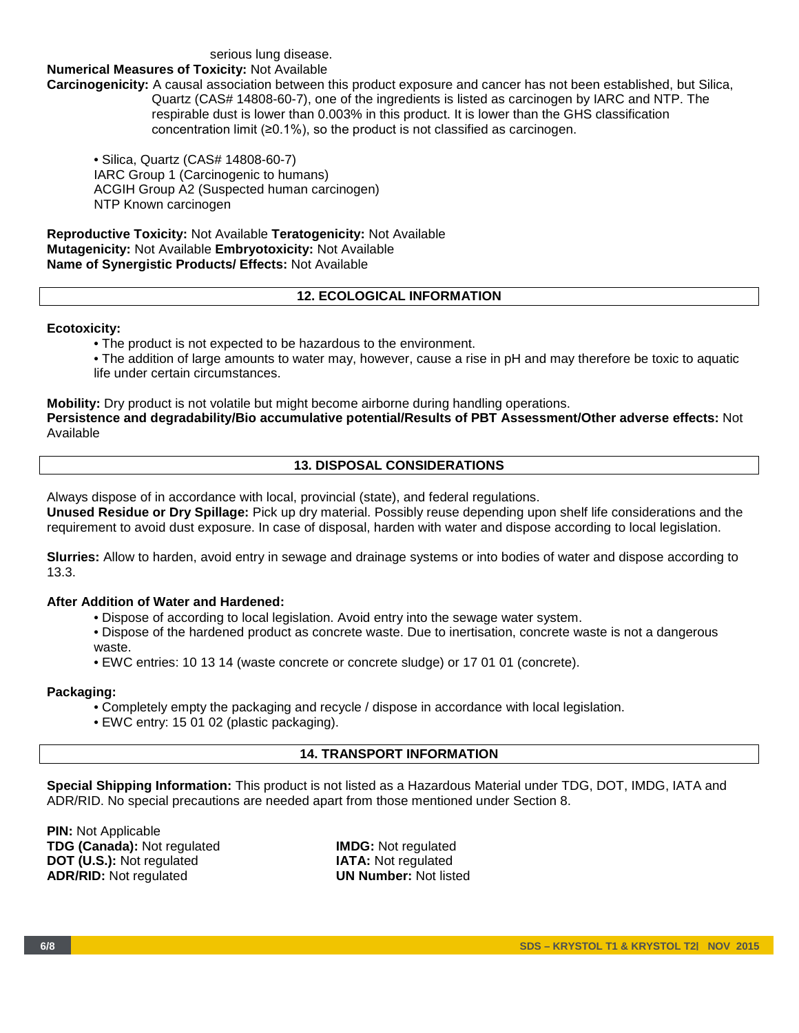#### serious lung disease.

#### **Numerical Measures of Toxicity:** Not Available

**Carcinogenicity:** A causal association between this product exposure and cancer has not been established, but Silica, Quartz (CAS# 14808-60-7), one of the ingredients is listed as carcinogen by IARC and NTP. The respirable dust is lower than 0.003% in this product. It is lower than the GHS classification concentration limit (≥0.1%), so the product is not classified as carcinogen.

• Silica, Quartz (CAS# 14808-60-7) IARC Group 1 (Carcinogenic to humans) ACGIH Group A2 (Suspected human carcinogen) NTP Known carcinogen

**Reproductive Toxicity:** Not Available **Teratogenicity:** Not Available **Mutagenicity:** Not Available **Embryotoxicity:** Not Available **Name of Synergistic Products/ Effects:** Not Available

#### **12. ECOLOGICAL INFORMATION**

#### **Ecotoxicity:**

• The product is not expected to be hazardous to the environment.

• The addition of large amounts to water may, however, cause a rise in pH and may therefore be toxic to aquatic life under certain circumstances.

**Mobility:** Dry product is not volatile but might become airborne during handling operations. **Persistence and degradability/Bio accumulative potential/Results of PBT Assessment/Other adverse effects:** Not Available

# **13. DISPOSAL CONSIDERATIONS**

Always dispose of in accordance with local, provincial (state), and federal regulations.

**Unused Residue or Dry Spillage:** Pick up dry material. Possibly reuse depending upon shelf life considerations and the requirement to avoid dust exposure. In case of disposal, harden with water and dispose according to local legislation.

**Slurries:** Allow to harden, avoid entry in sewage and drainage systems or into bodies of water and dispose according to 13.3.

## **After Addition of Water and Hardened:**

- Dispose of according to local legislation. Avoid entry into the sewage water system.
- Dispose of the hardened product as concrete waste. Due to inertisation, concrete waste is not a dangerous waste.
- EWC entries: 10 13 14 (waste concrete or concrete sludge) or 17 01 01 (concrete).

#### **Packaging:**

- Completely empty the packaging and recycle / dispose in accordance with local legislation.
- EWC entry: 15 01 02 (plastic packaging).

## **14. TRANSPORT INFORMATION**

**Special Shipping Information:** This product is not listed as a Hazardous Material under TDG, DOT, IMDG, IATA and ADR/RID. No special precautions are needed apart from those mentioned under Section 8.

**PIN:** Not Applicable **TDG (Canada):** Not regulated **IMDG:** Not regulated **DOT (U.S.):** Not regulated **IATA:** Not regulated **IATA:** Not regulated **INTA:** Not regulated **INTA:** Not listed **ADR/RID: Not regulated**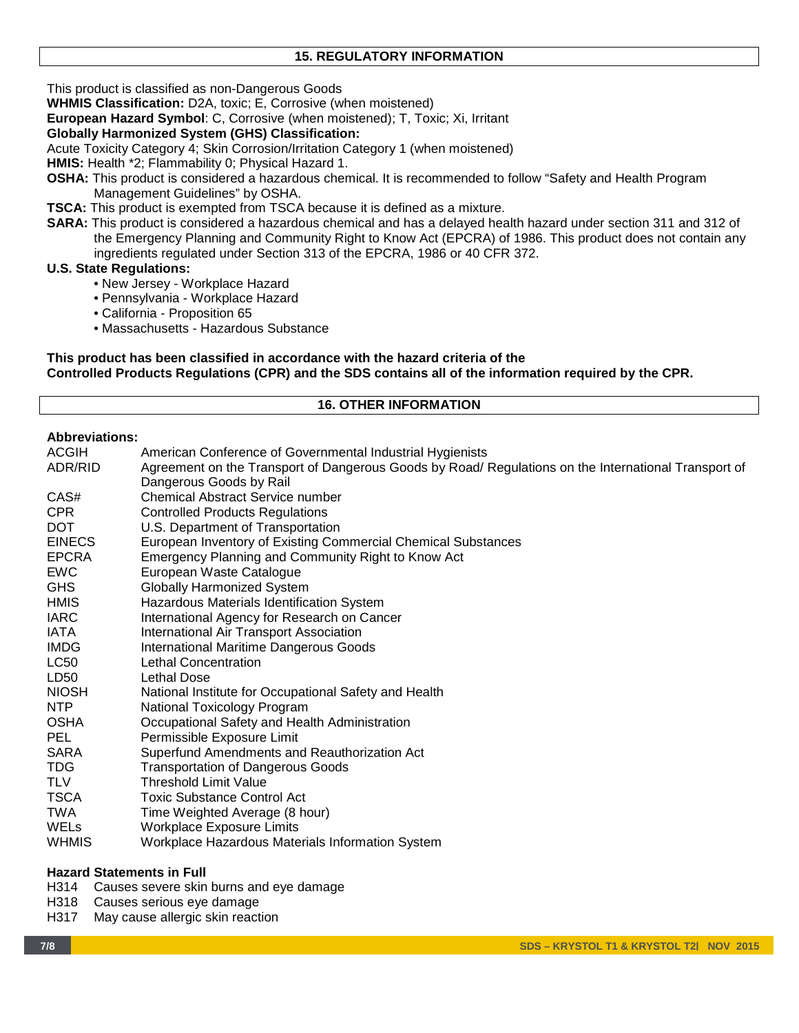# **15. REGULATORY INFORMATION**

This product is classified as non-Dangerous Goods

**WHMIS Classification:** D2A, toxic; E, Corrosive (when moistened)

**European Hazard Symbol**: C, Corrosive (when moistened); T, Toxic; Xi, Irritant

## **Globally Harmonized System (GHS) Classification:**

Acute Toxicity Category 4; Skin Corrosion/Irritation Category 1 (when moistened)

**HMIS:** Health \*2; Flammability 0; Physical Hazard 1.

- **OSHA:** This product is considered a hazardous chemical. It is recommended to follow "Safety and Health Program Management Guidelines" by OSHA.
- **TSCA:** This product is exempted from TSCA because it is defined as a mixture.
- **SARA:** This product is considered a hazardous chemical and has a delayed health hazard under section 311 and 312 of the Emergency Planning and Community Right to Know Act (EPCRA) of 1986. This product does not contain any ingredients regulated under Section 313 of the EPCRA, 1986 or 40 CFR 372.

## **U.S. State Regulations:**

- New Jersey Workplace Hazard
- Pennsylvania Workplace Hazard
- California Proposition 65
- Massachusetts Hazardous Substance

#### **This product has been classified in accordance with the hazard criteria of the Controlled Products Regulations (CPR) and the SDS contains all of the information required by the CPR.**

# **16. OTHER INFORMATION**

# **Abbreviations:**

| ACGIH         | American Conference of Governmental Industrial Hygienists                                            |  |  |  |  |
|---------------|------------------------------------------------------------------------------------------------------|--|--|--|--|
| ADR/RID       | Agreement on the Transport of Dangerous Goods by Road/ Regulations on the International Transport of |  |  |  |  |
|               | Dangerous Goods by Rail                                                                              |  |  |  |  |
| CAS#          | <b>Chemical Abstract Service number</b>                                                              |  |  |  |  |
| <b>CPR</b>    | <b>Controlled Products Regulations</b>                                                               |  |  |  |  |
| <b>DOT</b>    | U.S. Department of Transportation                                                                    |  |  |  |  |
| <b>EINECS</b> | European Inventory of Existing Commercial Chemical Substances                                        |  |  |  |  |
| <b>EPCRA</b>  | Emergency Planning and Community Right to Know Act                                                   |  |  |  |  |
| <b>EWC</b>    | European Waste Catalogue                                                                             |  |  |  |  |
| <b>GHS</b>    | <b>Globally Harmonized System</b>                                                                    |  |  |  |  |
| <b>HMIS</b>   | Hazardous Materials Identification System                                                            |  |  |  |  |
| <b>IARC</b>   | International Agency for Research on Cancer                                                          |  |  |  |  |
| IATA          | International Air Transport Association                                                              |  |  |  |  |
| <b>IMDG</b>   | <b>International Maritime Dangerous Goods</b>                                                        |  |  |  |  |
| <b>LC50</b>   | Lethal Concentration                                                                                 |  |  |  |  |
| LD50          | <b>Lethal Dose</b>                                                                                   |  |  |  |  |
| <b>NIOSH</b>  | National Institute for Occupational Safety and Health                                                |  |  |  |  |
| <b>NTP</b>    | National Toxicology Program                                                                          |  |  |  |  |
| <b>OSHA</b>   | Occupational Safety and Health Administration                                                        |  |  |  |  |
| <b>PEL</b>    | Permissible Exposure Limit                                                                           |  |  |  |  |
| SARA          | Superfund Amendments and Reauthorization Act                                                         |  |  |  |  |
| TDG.          | <b>Transportation of Dangerous Goods</b>                                                             |  |  |  |  |
| <b>TLV</b>    | <b>Threshold Limit Value</b>                                                                         |  |  |  |  |
| <b>TSCA</b>   | <b>Toxic Substance Control Act</b>                                                                   |  |  |  |  |
| TWA           | Time Weighted Average (8 hour)                                                                       |  |  |  |  |
| WELs          | <b>Workplace Exposure Limits</b>                                                                     |  |  |  |  |
| <b>WHMIS</b>  | Workplace Hazardous Materials Information System                                                     |  |  |  |  |

## **Hazard Statements in Full**

- H314 Causes severe skin burns and eye damage
- H318 Causes serious eye damage<br>H317 May cause allergic skin react
- May cause allergic skin reaction